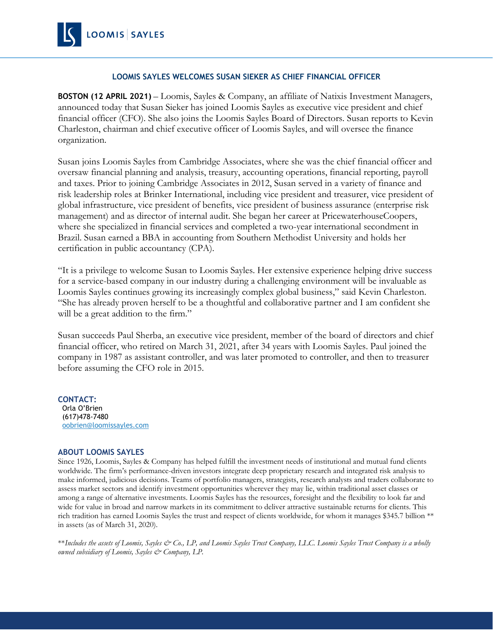

## **LOOMIS SAYLES WELCOMES SUSAN SIEKER AS CHIEF FINANCIAL OFFICER**

**BOSTON (12 APRIL 2021)** – Loomis, Sayles & Company, an affiliate of Natixis Investment Managers, announced today that Susan Sieker has joined Loomis Sayles as executive vice president and chief financial officer (CFO). She also joins the Loomis Sayles Board of Directors. Susan reports to Kevin Charleston, chairman and chief executive officer of Loomis Sayles, and will oversee the finance organization.

Susan joins Loomis Sayles from Cambridge Associates, where she was the chief financial officer and oversaw financial planning and analysis, treasury, accounting operations, financial reporting, payroll and taxes. Prior to joining Cambridge Associates in 2012, Susan served in a variety of finance and risk leadership roles at Brinker International, including vice president and treasurer, vice president of global infrastructure, vice president of benefits, vice president of business assurance (enterprise risk management) and as director of internal audit. She began her career at PricewaterhouseCoopers, where she specialized in financial services and completed a two-year international secondment in Brazil. Susan earned a BBA in accounting from Southern Methodist University and holds her certification in public accountancy (CPA).

"It is a privilege to welcome Susan to Loomis Sayles. Her extensive experience helping drive success for a service-based company in our industry during a challenging environment will be invaluable as Loomis Sayles continues growing its increasingly complex global business," said Kevin Charleston. "She has already proven herself to be a thoughtful and collaborative partner and I am confident she will be a great addition to the firm."

Susan succeeds Paul Sherba, an executive vice president, member of the board of directors and chief financial officer, who retired on March 31, 2021, after 34 years with Loomis Sayles. Paul joined the company in 1987 as assistant controller, and was later promoted to controller, and then to treasurer before assuming the CFO role in 2015.

**CONTACT:** Orla O'Brien (617)478-7480 [oobrien@loomissayles.com](mailto:oobrien@loomissayles.com)

## **ABOUT LOOMIS SAYLES**

Since 1926, Loomis, Sayles & Company has helped fulfill the investment needs of institutional and mutual fund clients worldwide. The firm's performance-driven investors integrate deep proprietary research and integrated risk analysis to make informed, judicious decisions. Teams of portfolio managers, strategists, research analysts and traders collaborate to assess market sectors and identify investment opportunities wherever they may lie, within traditional asset classes or among a range of alternative investments. Loomis Sayles has the resources, foresight and the flexibility to look far and wide for value in broad and narrow markets in its commitment to deliver attractive sustainable returns for clients. This rich tradition has earned Loomis Sayles the trust and respect of clients worldwide, for whom it manages \$345.7 billion \*\* in assets (as of March 31, 2020).

\*\*Includes the assets of Loomis, Sayles & Co., LP, and Loomis Sayles Trust Company, LLC. Loomis Sayles Trust Company is a wholly *owned subsidiary of Loomis, Sayles & Company, LP.*